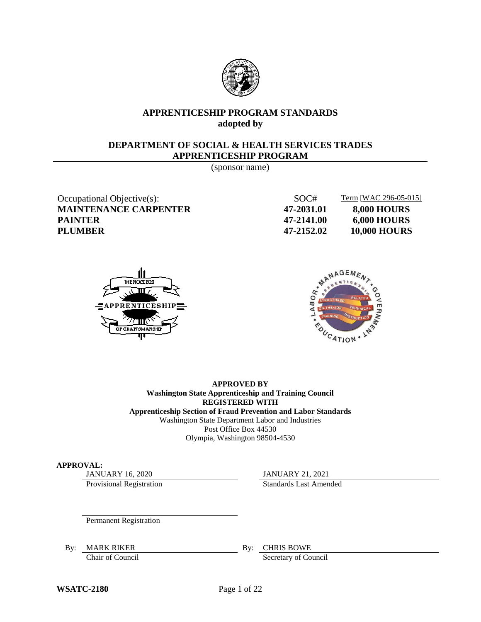

## **APPRENTICESHIP PROGRAM STANDARDS adopted by**

#### **DEPARTMENT OF SOCIAL & HEALTH SERVICES TRADES APPRENTICESHIP PROGRAM**

(sponsor name)

**MAINTENANCE CARPENTER 47-2031.01 8,000 HOURS PAINTER 47-2141.00 6,000 HOURS**

Occupational Objective(s): SOC# Term [WAC 296-05-015] **PLUMBER 47-2152.02 10,000 HOURS**





## **APPROVED BY Washington State Apprenticeship and Training Council REGISTERED WITH**

**Apprenticeship Section of Fraud Prevention and Labor Standards** Washington State Department Labor and Industries Post Office Box 44530 Olympia, Washington 98504-4530

#### **APPROVAL:**

Provisional Registration Standards Last Amended

JANUARY 16, 2020 JANUARY 21, 2021

Permanent Registration

By: MARK RIKER By: CHRIS BOWE

Chair of Council Secretary of Council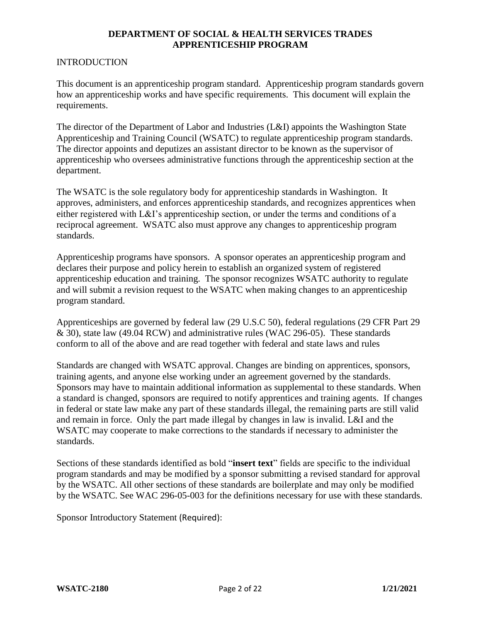#### INTRODUCTION

This document is an apprenticeship program standard. Apprenticeship program standards govern how an apprenticeship works and have specific requirements. This document will explain the requirements.

The director of the Department of Labor and Industries (L&I) appoints the Washington State Apprenticeship and Training Council (WSATC) to regulate apprenticeship program standards. The director appoints and deputizes an assistant director to be known as the supervisor of apprenticeship who oversees administrative functions through the apprenticeship section at the department.

The WSATC is the sole regulatory body for apprenticeship standards in Washington. It approves, administers, and enforces apprenticeship standards, and recognizes apprentices when either registered with L&I's apprenticeship section, or under the terms and conditions of a reciprocal agreement. WSATC also must approve any changes to apprenticeship program standards.

Apprenticeship programs have sponsors. A sponsor operates an apprenticeship program and declares their purpose and policy herein to establish an organized system of registered apprenticeship education and training. The sponsor recognizes WSATC authority to regulate and will submit a revision request to the WSATC when making changes to an apprenticeship program standard.

Apprenticeships are governed by federal law (29 U.S.C 50), federal regulations (29 CFR Part 29 & 30), state law (49.04 RCW) and administrative rules (WAC 296-05). These standards conform to all of the above and are read together with federal and state laws and rules

Standards are changed with WSATC approval. Changes are binding on apprentices, sponsors, training agents, and anyone else working under an agreement governed by the standards. Sponsors may have to maintain additional information as supplemental to these standards. When a standard is changed, sponsors are required to notify apprentices and training agents. If changes in federal or state law make any part of these standards illegal, the remaining parts are still valid and remain in force. Only the part made illegal by changes in law is invalid. L&I and the WSATC may cooperate to make corrections to the standards if necessary to administer the standards.

Sections of these standards identified as bold "**insert text**" fields are specific to the individual program standards and may be modified by a sponsor submitting a revised standard for approval by the WSATC. All other sections of these standards are boilerplate and may only be modified by the WSATC. See WAC 296-05-003 for the definitions necessary for use with these standards.

Sponsor Introductory Statement (Required):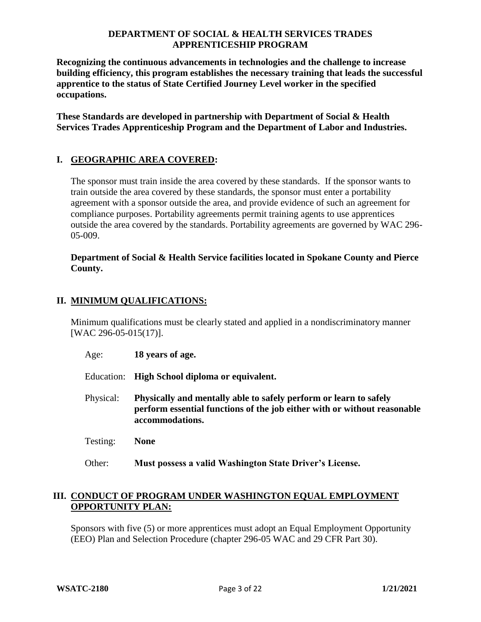**Recognizing the continuous advancements in technologies and the challenge to increase building efficiency, this program establishes the necessary training that leads the successful apprentice to the status of State Certified Journey Level worker in the specified occupations.** 

**These Standards are developed in partnership with Department of Social & Health Services Trades Apprenticeship Program and the Department of Labor and Industries.**

# **I. GEOGRAPHIC AREA COVERED:**

The sponsor must train inside the area covered by these standards. If the sponsor wants to train outside the area covered by these standards, the sponsor must enter a portability agreement with a sponsor outside the area, and provide evidence of such an agreement for compliance purposes. Portability agreements permit training agents to use apprentices outside the area covered by the standards. Portability agreements are governed by WAC 296- 05-009.

## **Department of Social & Health Service facilities located in Spokane County and Pierce County.**

# **II. MINIMUM QUALIFICATIONS:**

Minimum qualifications must be clearly stated and applied in a nondiscriminatory manner [WAC 296-05-015(17)].

- Age: **18 years of age.**
- Education: **High School diploma or equivalent.**
- Physical: **Physically and mentally able to safely perform or learn to safely perform essential functions of the job either with or without reasonable accommodations.**
- Testing: **None**
- Other: **Must possess a valid Washington State Driver's License.**

## **III. CONDUCT OF PROGRAM UNDER WASHINGTON EQUAL EMPLOYMENT OPPORTUNITY PLAN:**

Sponsors with five (5) or more apprentices must adopt an Equal Employment Opportunity (EEO) Plan and Selection Procedure (chapter 296-05 WAC and 29 CFR Part 30).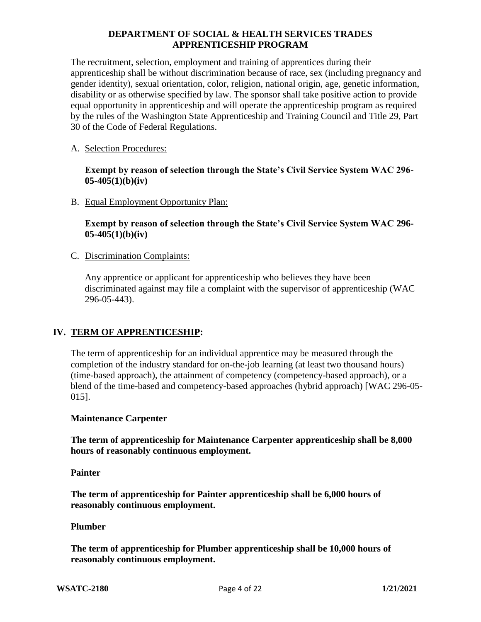The recruitment, selection, employment and training of apprentices during their apprenticeship shall be without discrimination because of race, sex (including pregnancy and gender identity), sexual orientation, color, religion, national origin, age, genetic information, disability or as otherwise specified by law. The sponsor shall take positive action to provide equal opportunity in apprenticeship and will operate the apprenticeship program as required by the rules of the Washington State Apprenticeship and Training Council and Title 29, Part 30 of the Code of Federal Regulations.

## A. Selection Procedures:

**Exempt by reason of selection through the State's Civil Service System WAC 296- 05-405(1)(b)(iv)**

B. Equal Employment Opportunity Plan:

**Exempt by reason of selection through the State's Civil Service System WAC 296- 05-405(1)(b)(iv)**

C. Discrimination Complaints:

Any apprentice or applicant for apprenticeship who believes they have been discriminated against may file a complaint with the supervisor of apprenticeship (WAC 296-05-443).

#### **IV. TERM OF APPRENTICESHIP:**

The term of apprenticeship for an individual apprentice may be measured through the completion of the industry standard for on-the-job learning (at least two thousand hours) (time-based approach), the attainment of competency (competency-based approach), or a blend of the time-based and competency-based approaches (hybrid approach) [WAC 296-05- 015].

#### **Maintenance Carpenter**

**The term of apprenticeship for Maintenance Carpenter apprenticeship shall be 8,000 hours of reasonably continuous employment.**

#### **Painter**

**The term of apprenticeship for Painter apprenticeship shall be 6,000 hours of reasonably continuous employment.**

#### **Plumber**

**The term of apprenticeship for Plumber apprenticeship shall be 10,000 hours of reasonably continuous employment.**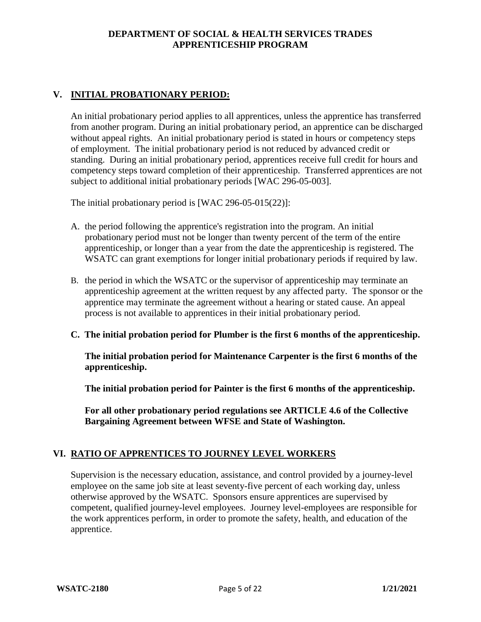# **V. INITIAL PROBATIONARY PERIOD:**

An initial probationary period applies to all apprentices, unless the apprentice has transferred from another program. During an initial probationary period, an apprentice can be discharged without appeal rights. An initial probationary period is stated in hours or competency steps of employment. The initial probationary period is not reduced by advanced credit or standing. During an initial probationary period, apprentices receive full credit for hours and competency steps toward completion of their apprenticeship. Transferred apprentices are not subject to additional initial probationary periods [WAC 296-05-003].

The initial probationary period is [WAC 296-05-015(22)]:

- A. the period following the apprentice's registration into the program. An initial probationary period must not be longer than twenty percent of the term of the entire apprenticeship, or longer than a year from the date the apprenticeship is registered. The WSATC can grant exemptions for longer initial probationary periods if required by law.
- B. the period in which the WSATC or the supervisor of apprenticeship may terminate an apprenticeship agreement at the written request by any affected party. The sponsor or the apprentice may terminate the agreement without a hearing or stated cause. An appeal process is not available to apprentices in their initial probationary period.
- **C. The initial probation period for Plumber is the first 6 months of the apprenticeship.**

**The initial probation period for Maintenance Carpenter is the first 6 months of the apprenticeship.** 

**The initial probation period for Painter is the first 6 months of the apprenticeship.** 

**For all other probationary period regulations see ARTICLE 4.6 of the Collective Bargaining Agreement between WFSE and State of Washington.**

# **VI. RATIO OF APPRENTICES TO JOURNEY LEVEL WORKERS**

Supervision is the necessary education, assistance, and control provided by a journey-level employee on the same job site at least seventy-five percent of each working day, unless otherwise approved by the WSATC. Sponsors ensure apprentices are supervised by competent, qualified journey-level employees. Journey level-employees are responsible for the work apprentices perform, in order to promote the safety, health, and education of the apprentice.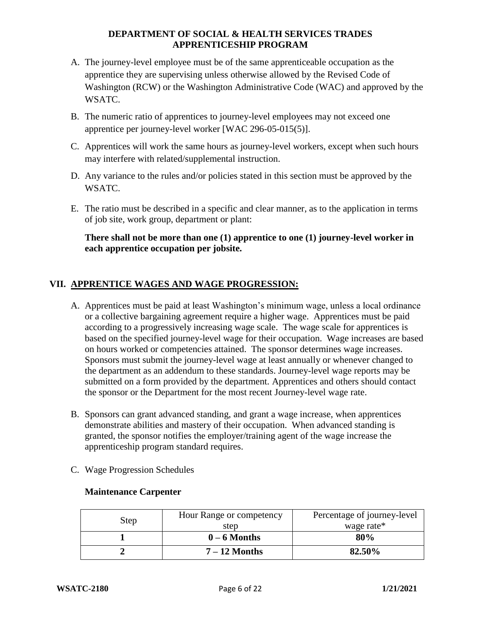- A. The journey-level employee must be of the same apprenticeable occupation as the apprentice they are supervising unless otherwise allowed by the Revised Code of Washington (RCW) or the Washington Administrative Code (WAC) and approved by the WSATC.
- B. The numeric ratio of apprentices to journey-level employees may not exceed one apprentice per journey-level worker [WAC 296-05-015(5)].
- C. Apprentices will work the same hours as journey-level workers, except when such hours may interfere with related/supplemental instruction.
- D. Any variance to the rules and/or policies stated in this section must be approved by the WSATC.
- E. The ratio must be described in a specific and clear manner, as to the application in terms of job site, work group, department or plant:

## **There shall not be more than one (1) apprentice to one (1) journey-level worker in each apprentice occupation per jobsite.**

# **VII. APPRENTICE WAGES AND WAGE PROGRESSION:**

- A. Apprentices must be paid at least Washington's minimum wage, unless a local ordinance or a collective bargaining agreement require a higher wage. Apprentices must be paid according to a progressively increasing wage scale. The wage scale for apprentices is based on the specified journey-level wage for their occupation. Wage increases are based on hours worked or competencies attained. The sponsor determines wage increases. Sponsors must submit the journey-level wage at least annually or whenever changed to the department as an addendum to these standards. Journey-level wage reports may be submitted on a form provided by the department. Apprentices and others should contact the sponsor or the Department for the most recent Journey-level wage rate.
- B. Sponsors can grant advanced standing, and grant a wage increase, when apprentices demonstrate abilities and mastery of their occupation. When advanced standing is granted, the sponsor notifies the employer/training agent of the wage increase the apprenticeship program standard requires.
- C. Wage Progression Schedules

| Step | Hour Range or competency<br>step | Percentage of journey-level<br>wage rate* |
|------|----------------------------------|-------------------------------------------|
|      | $0 - 6$ Months                   | 80%                                       |
|      | $7-12$ Months                    | 82.50%                                    |

# **Maintenance Carpenter**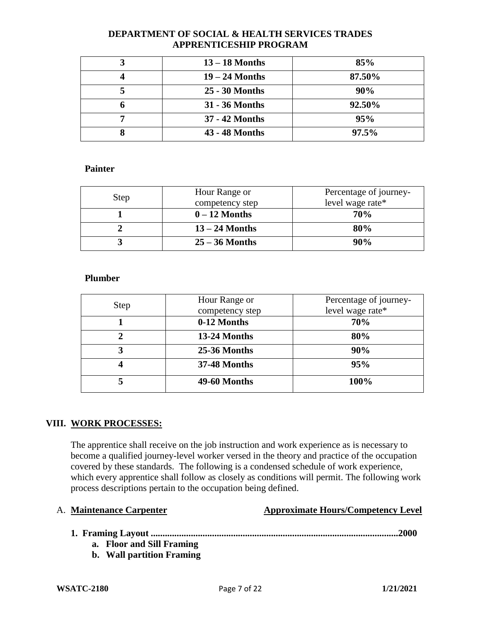|   | $13 - 18$ Months | 85%    |
|---|------------------|--------|
|   | $19 - 24$ Months | 87.50% |
|   | 25 - 30 Months   | 90%    |
| n | 31 - 36 Months   | 92.50% |
|   | 37 - 42 Months   | 95%    |
|   | 43 - 48 Months   | 97.5%  |

#### **Painter**

|      | Hour Range or    | Percentage of journey- |
|------|------------------|------------------------|
| Step | competency step  | level wage rate*       |
|      | $0 - 12$ Months  | <b>70%</b>             |
|      | $13 - 24$ Months | 80%                    |
|      | $25 - 36$ Months | $90\%$                 |

## **Plumber**

| <b>Step</b> | Hour Range or<br>competency step | Percentage of journey-<br>level wage rate* |
|-------------|----------------------------------|--------------------------------------------|
|             | 0-12 Months                      | 70%                                        |
| 2           | 13-24 Months                     | 80%                                        |
| 3           | 25-36 Months                     | 90%                                        |
| 4           | <b>37-48 Months</b>              | 95%                                        |
| 5           | <b>49-60 Months</b>              | 100%                                       |

# **VIII. WORK PROCESSES:**

The apprentice shall receive on the job instruction and work experience as is necessary to become a qualified journey-level worker versed in the theory and practice of the occupation covered by these standards. The following is a condensed schedule of work experience, which every apprentice shall follow as closely as conditions will permit. The following work process descriptions pertain to the occupation being defined.

#### A. **Maintenance Carpenter Approximate Hours/Competency Level**

- **1. Framing Layout .........................................................................................................2000**
	- **a. Floor and Sill Framing**
	- **b. Wall partition Framing**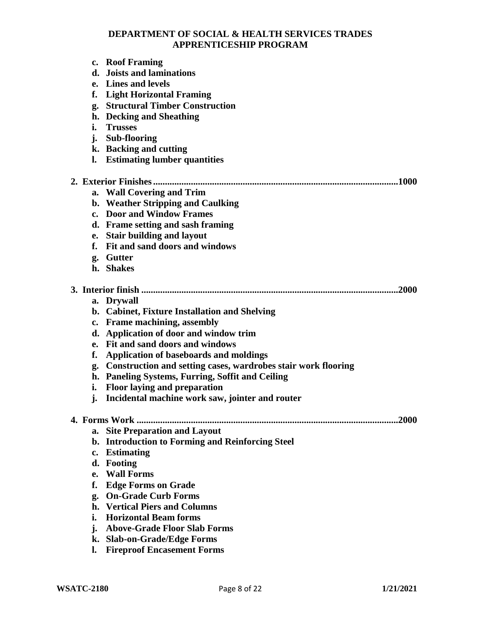- **c. Roof Framing**
- **d. Joists and laminations**
- **e. Lines and levels**
- **f. Light Horizontal Framing**
- **g. Structural Timber Construction**
- **h. Decking and Sheathing**
- **i. Trusses**
- **j. Sub-flooring**
- **k. Backing and cutting**
- **l. Estimating lumber quantities**

## **2. Exterior Finishes........................................................................................................1000**

- **a. Wall Covering and Trim**
- **b. Weather Stripping and Caulking**
- **c. Door and Window Frames**
- **d. Frame setting and sash framing**
- **e. Stair building and layout**
- **f. Fit and sand doors and windows**
- **g. Gutter**
- **h. Shakes**

## **3. Interior finish .............................................................................................................2000**

- **a. Drywall**
- **b. Cabinet, Fixture Installation and Shelving**
- **c. Frame machining, assembly**
- **d. Application of door and window trim**
- **e. Fit and sand doors and windows**
- **f. Application of baseboards and moldings**
- **g. Construction and setting cases, wardrobes stair work flooring**
- **h. Paneling Systems, Furring, Soffit and Ceiling**
- **i. Floor laying and preparation**
- **j. Incidental machine work saw, jointer and router**

#### **4. Forms Work ...............................................................................................................2000**

- **a. Site Preparation and Layout**
- **b. Introduction to Forming and Reinforcing Steel**
- **c. Estimating**
- **d. Footing**
- **e. Wall Forms**
- **f. Edge Forms on Grade**
- **g. On-Grade Curb Forms**
- **h. Vertical Piers and Columns**
- **i. Horizontal Beam forms**
- **j. Above-Grade Floor Slab Forms**
- **k. Slab-on-Grade/Edge Forms**
- **l. Fireproof Encasement Forms**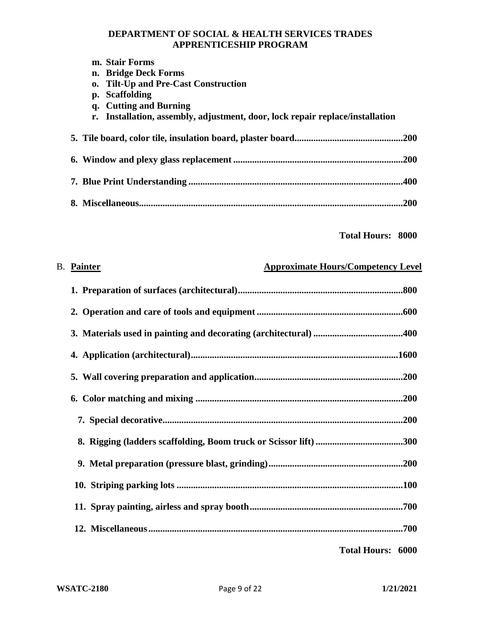|  | m. Stair Forms                                                                |      |
|--|-------------------------------------------------------------------------------|------|
|  | n. Bridge Deck Forms                                                          |      |
|  | o. Tilt-Up and Pre-Cast Construction                                          |      |
|  | p. Scaffolding                                                                |      |
|  | q. Cutting and Burning                                                        |      |
|  | r. Installation, assembly, adjustment, door, lock repair replace/installation |      |
|  |                                                                               |      |
|  |                                                                               | .200 |
|  |                                                                               |      |
|  |                                                                               | 400  |
|  |                                                                               |      |
|  |                                                                               | .200 |
|  |                                                                               |      |

**Total Hours: 8000**

| <b>B.</b> Painter | <b>Approximate Hours/Competency Level</b> |
|-------------------|-------------------------------------------|
|                   |                                           |
|                   |                                           |
|                   |                                           |
|                   |                                           |
|                   |                                           |
|                   |                                           |
|                   |                                           |
|                   |                                           |
|                   |                                           |
|                   |                                           |
|                   |                                           |
|                   |                                           |
|                   |                                           |

**Total Hours: 6000**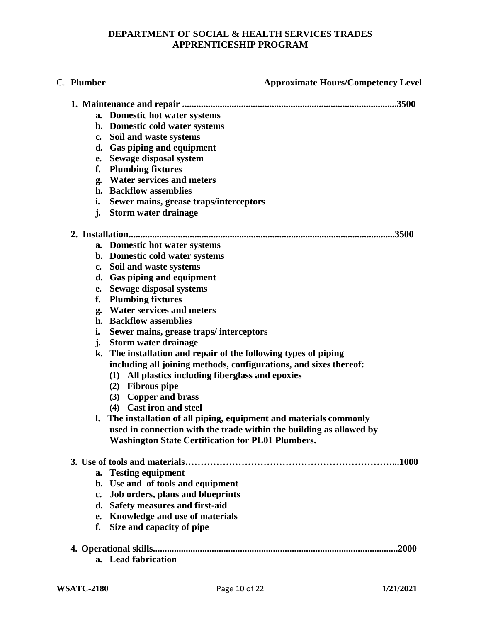## C. **Plumber Approximate Hours/Competency Level**

|                | a. Domestic hot water systems                                       |
|----------------|---------------------------------------------------------------------|
|                | b. Domestic cold water systems                                      |
|                | c. Soil and waste systems                                           |
|                | d. Gas piping and equipment                                         |
|                | e. Sewage disposal system                                           |
| f.             | <b>Plumbing fixtures</b>                                            |
|                | g. Water services and meters                                        |
|                | h. Backflow assemblies                                              |
| i.             | Sewer mains, grease traps/interceptors                              |
|                | j. Storm water drainage                                             |
|                | 3500                                                                |
|                | a. Domestic hot water systems                                       |
|                | b. Domestic cold water systems                                      |
|                | c. Soil and waste systems                                           |
|                | d. Gas piping and equipment                                         |
|                | e. Sewage disposal systems                                          |
| f.             | <b>Plumbing fixtures</b>                                            |
| g.             | <b>Water services and meters</b>                                    |
|                | h. Backflow assemblies                                              |
| i.             | Sewer mains, grease traps/interceptors                              |
| j.             | <b>Storm water drainage</b>                                         |
| k.             | The installation and repair of the following types of piping        |
|                | including all joining methods, configurations, and sixes thereof:   |
|                | (1) All plastics including fiberglass and epoxies                   |
|                | (2) Fibrous pipe                                                    |
|                | (3) Copper and brass                                                |
|                | (4) Cast iron and steel                                             |
| $\mathbf{l}$ . | The installation of all piping, equipment and materials commonly    |
|                | used in connection with the trade within the building as allowed by |
|                | <b>Washington State Certification for PL01 Plumbers.</b>            |
|                | .1000                                                               |
| a.             | <b>Testing equipment</b>                                            |
|                | b. Use and of tools and equipment                                   |
| c.             | Job orders, plans and blueprints                                    |
|                | d. Safety measures and first-aid                                    |
| e.             | Knowledge and use of materials                                      |
| f.             | Size and capacity of pipe                                           |
|                |                                                                     |
|                | .2000                                                               |
| $a_{\cdot}$    | <b>Lead fabrication</b>                                             |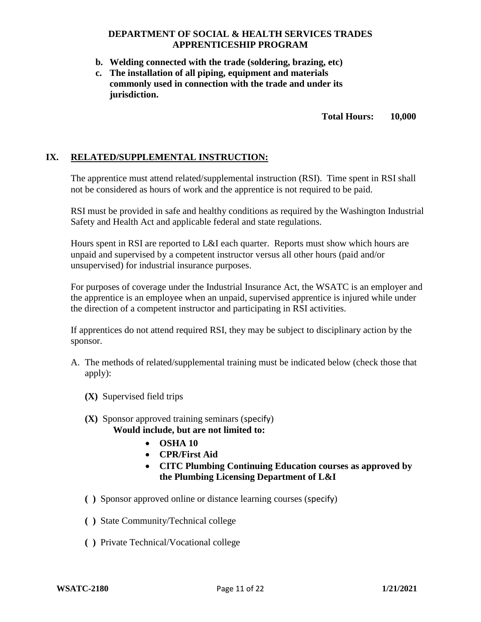- **b. Welding connected with the trade (soldering, brazing, etc)**
- **c. The installation of all piping, equipment and materials commonly used in connection with the trade and under its jurisdiction.**

**Total Hours: 10,000**

#### **IX. RELATED/SUPPLEMENTAL INSTRUCTION:**

The apprentice must attend related/supplemental instruction (RSI). Time spent in RSI shall not be considered as hours of work and the apprentice is not required to be paid.

RSI must be provided in safe and healthy conditions as required by the Washington Industrial Safety and Health Act and applicable federal and state regulations.

Hours spent in RSI are reported to L&I each quarter. Reports must show which hours are unpaid and supervised by a competent instructor versus all other hours (paid and/or unsupervised) for industrial insurance purposes.

For purposes of coverage under the Industrial Insurance Act, the WSATC is an employer and the apprentice is an employee when an unpaid, supervised apprentice is injured while under the direction of a competent instructor and participating in RSI activities.

If apprentices do not attend required RSI, they may be subject to disciplinary action by the sponsor.

- A. The methods of related/supplemental training must be indicated below (check those that apply):
	- **(X)** Supervised field trips
	- **(X)** Sponsor approved training seminars (specify) **Would include, but are not limited to:**
		- **OSHA 10**
		- **CPR/First Aid**
		- **CITC Plumbing Continuing Education courses as approved by the Plumbing Licensing Department of L&I**
	- **( )** Sponsor approved online or distance learning courses (specify)
	- **( )** State Community/Technical college
	- **( )** Private Technical/Vocational college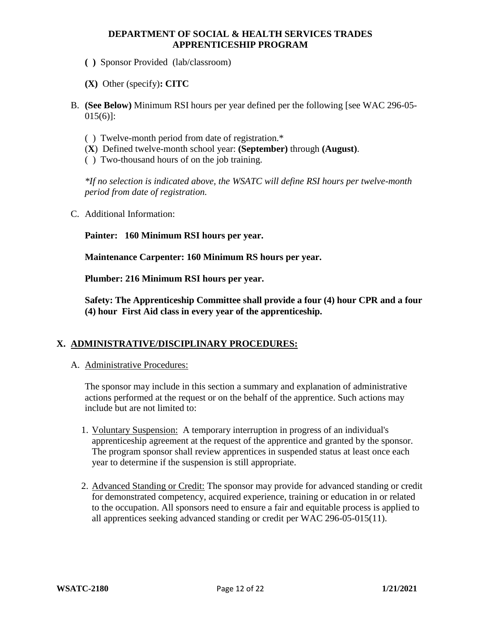- **( )** Sponsor Provided (lab/classroom)
- **(X)** Other (specify)**: CITC**
- B. **(See Below)** Minimum RSI hours per year defined per the following [see WAC 296-05- 015(6)]:
	- ( ) Twelve-month period from date of registration.\*
	- (**X**) Defined twelve-month school year: **(September)** through **(August)**.
	- ( ) Two-thousand hours of on the job training.

*\*If no selection is indicated above, the WSATC will define RSI hours per twelve-month period from date of registration.*

C. Additional Information:

**Painter: 160 Minimum RSI hours per year.**

**Maintenance Carpenter: 160 Minimum RS hours per year.**

**Plumber: 216 Minimum RSI hours per year.**

**Safety: The Apprenticeship Committee shall provide a four (4) hour CPR and a four (4) hour First Aid class in every year of the apprenticeship.**

# **X. ADMINISTRATIVE/DISCIPLINARY PROCEDURES:**

A. Administrative Procedures:

The sponsor may include in this section a summary and explanation of administrative actions performed at the request or on the behalf of the apprentice. Such actions may include but are not limited to:

- 1. Voluntary Suspension: A temporary interruption in progress of an individual's apprenticeship agreement at the request of the apprentice and granted by the sponsor. The program sponsor shall review apprentices in suspended status at least once each year to determine if the suspension is still appropriate.
- 2. Advanced Standing or Credit: The sponsor may provide for advanced standing or credit for demonstrated competency, acquired experience, training or education in or related to the occupation. All sponsors need to ensure a fair and equitable process is applied to all apprentices seeking advanced standing or credit per WAC 296-05-015(11).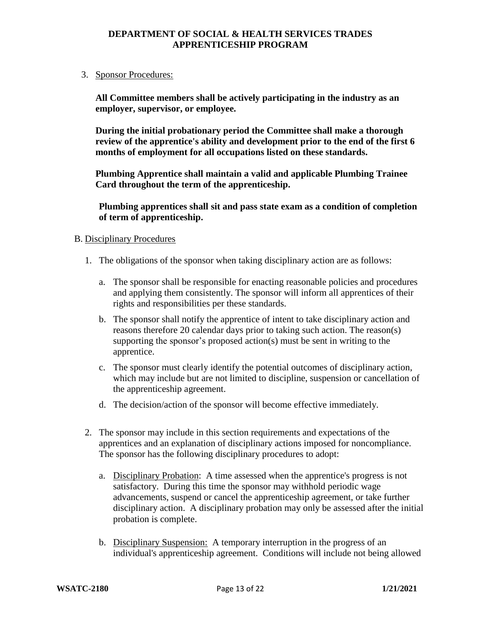#### 3. Sponsor Procedures:

**All Committee members shall be actively participating in the industry as an employer, supervisor, or employee.**

**During the initial probationary period the Committee shall make a thorough review of the apprentice's ability and development prior to the end of the first 6 months of employment for all occupations listed on these standards.** 

**Plumbing Apprentice shall maintain a valid and applicable Plumbing Trainee Card throughout the term of the apprenticeship.** 

**Plumbing apprentices shall sit and pass state exam as a condition of completion of term of apprenticeship.**

#### B. Disciplinary Procedures

- 1. The obligations of the sponsor when taking disciplinary action are as follows:
	- a. The sponsor shall be responsible for enacting reasonable policies and procedures and applying them consistently. The sponsor will inform all apprentices of their rights and responsibilities per these standards.
	- b. The sponsor shall notify the apprentice of intent to take disciplinary action and reasons therefore 20 calendar days prior to taking such action. The reason(s) supporting the sponsor's proposed action(s) must be sent in writing to the apprentice.
	- c. The sponsor must clearly identify the potential outcomes of disciplinary action, which may include but are not limited to discipline, suspension or cancellation of the apprenticeship agreement.
	- d. The decision/action of the sponsor will become effective immediately.
- 2. The sponsor may include in this section requirements and expectations of the apprentices and an explanation of disciplinary actions imposed for noncompliance. The sponsor has the following disciplinary procedures to adopt:
	- a. Disciplinary Probation: A time assessed when the apprentice's progress is not satisfactory. During this time the sponsor may withhold periodic wage advancements, suspend or cancel the apprenticeship agreement, or take further disciplinary action. A disciplinary probation may only be assessed after the initial probation is complete.
	- b. Disciplinary Suspension: A temporary interruption in the progress of an individual's apprenticeship agreement. Conditions will include not being allowed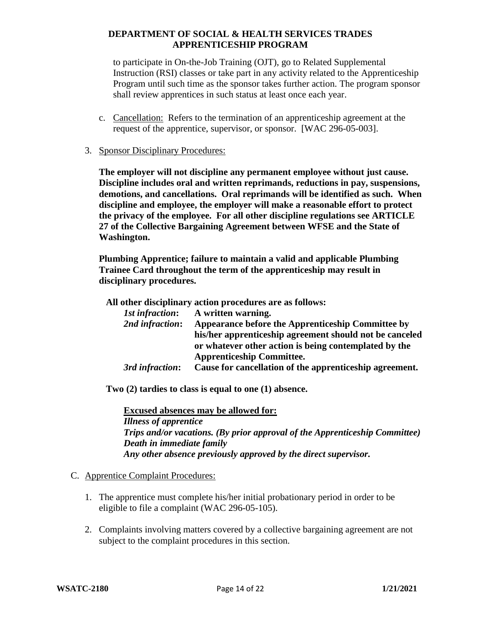to participate in On-the-Job Training (OJT), go to Related Supplemental Instruction (RSI) classes or take part in any activity related to the Apprenticeship Program until such time as the sponsor takes further action. The program sponsor shall review apprentices in such status at least once each year.

- c. Cancellation: Refers to the termination of an apprenticeship agreement at the request of the apprentice, supervisor, or sponsor. [WAC 296-05-003].
- 3. Sponsor Disciplinary Procedures:

**The employer will not discipline any permanent employee without just cause. Discipline includes oral and written reprimands, reductions in pay, suspensions, demotions, and cancellations. Oral reprimands will be identified as such. When discipline and employee, the employer will make a reasonable effort to protect the privacy of the employee. For all other discipline regulations see ARTICLE 27 of the Collective Bargaining Agreement between WFSE and the State of Washington.**

**Plumbing Apprentice; failure to maintain a valid and applicable Plumbing Trainee Card throughout the term of the apprenticeship may result in disciplinary procedures.**

**All other disciplinary action procedures are as follows:**

| <i><b>1st infraction:</b></i> | A written warning.                                      |
|-------------------------------|---------------------------------------------------------|
| 2nd infraction:               | Appearance before the Apprenticeship Committee by       |
|                               | his/her apprenticeship agreement should not be canceled |
|                               | or whatever other action is being contemplated by the   |
|                               | <b>Apprenticeship Committee.</b>                        |
| 3rd infraction:               | Cause for cancellation of the apprenticeship agreement. |

**Two (2) tardies to class is equal to one (1) absence.**

**Excused absences may be allowed for:** *Illness of apprentice Trips and/or vacations. (By prior approval of the Apprenticeship Committee) Death in immediate family Any other absence previously approved by the direct supervisor.*

- C. Apprentice Complaint Procedures:
	- 1. The apprentice must complete his/her initial probationary period in order to be eligible to file a complaint (WAC 296-05-105).
	- 2. Complaints involving matters covered by a collective bargaining agreement are not subject to the complaint procedures in this section.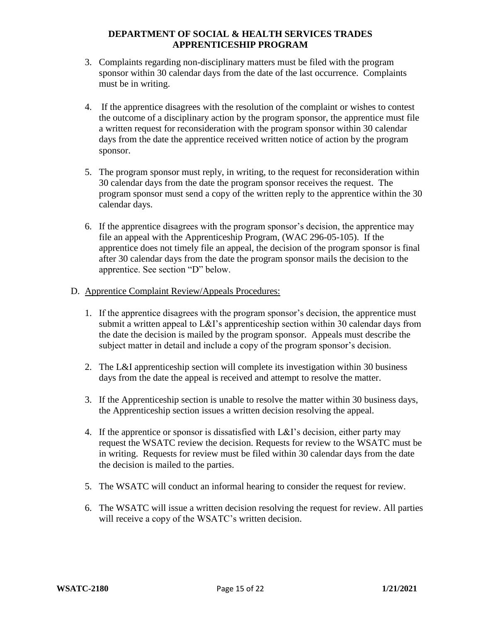- 3. Complaints regarding non-disciplinary matters must be filed with the program sponsor within 30 calendar days from the date of the last occurrence. Complaints must be in writing.
- 4. If the apprentice disagrees with the resolution of the complaint or wishes to contest the outcome of a disciplinary action by the program sponsor, the apprentice must file a written request for reconsideration with the program sponsor within 30 calendar days from the date the apprentice received written notice of action by the program sponsor.
- 5. The program sponsor must reply, in writing, to the request for reconsideration within 30 calendar days from the date the program sponsor receives the request. The program sponsor must send a copy of the written reply to the apprentice within the 30 calendar days.
- 6. If the apprentice disagrees with the program sponsor's decision, the apprentice may file an appeal with the Apprenticeship Program, (WAC 296-05-105). If the apprentice does not timely file an appeal, the decision of the program sponsor is final after 30 calendar days from the date the program sponsor mails the decision to the apprentice. See section "D" below.
- D. Apprentice Complaint Review/Appeals Procedures:
	- 1. If the apprentice disagrees with the program sponsor's decision, the apprentice must submit a written appeal to L&I's apprenticeship section within 30 calendar days from the date the decision is mailed by the program sponsor. Appeals must describe the subject matter in detail and include a copy of the program sponsor's decision.
	- 2. The L&I apprenticeship section will complete its investigation within 30 business days from the date the appeal is received and attempt to resolve the matter.
	- 3. If the Apprenticeship section is unable to resolve the matter within 30 business days, the Apprenticeship section issues a written decision resolving the appeal.
	- 4. If the apprentice or sponsor is dissatisfied with L&I's decision, either party may request the WSATC review the decision. Requests for review to the WSATC must be in writing. Requests for review must be filed within 30 calendar days from the date the decision is mailed to the parties.
	- 5. The WSATC will conduct an informal hearing to consider the request for review.
	- 6. The WSATC will issue a written decision resolving the request for review. All parties will receive a copy of the WSATC's written decision.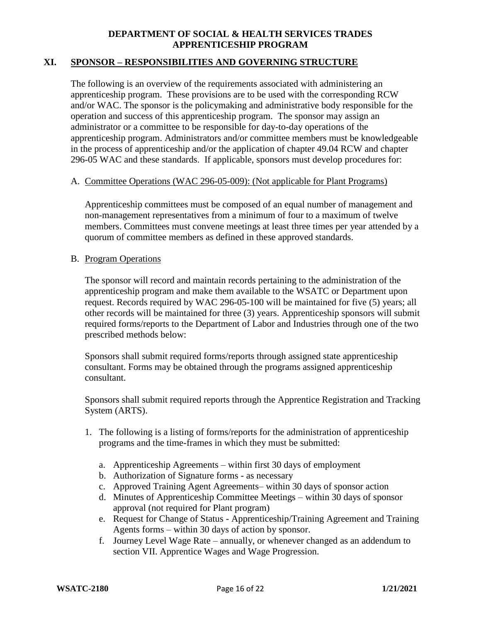## **XI. SPONSOR – RESPONSIBILITIES AND GOVERNING STRUCTURE**

The following is an overview of the requirements associated with administering an apprenticeship program. These provisions are to be used with the corresponding RCW and/or WAC. The sponsor is the policymaking and administrative body responsible for the operation and success of this apprenticeship program. The sponsor may assign an administrator or a committee to be responsible for day-to-day operations of the apprenticeship program. Administrators and/or committee members must be knowledgeable in the process of apprenticeship and/or the application of chapter 49.04 RCW and chapter 296-05 WAC and these standards. If applicable, sponsors must develop procedures for:

#### A. Committee Operations (WAC 296-05-009): (Not applicable for Plant Programs)

Apprenticeship committees must be composed of an equal number of management and non-management representatives from a minimum of four to a maximum of twelve members. Committees must convene meetings at least three times per year attended by a quorum of committee members as defined in these approved standards.

#### B. Program Operations

The sponsor will record and maintain records pertaining to the administration of the apprenticeship program and make them available to the WSATC or Department upon request. Records required by WAC 296-05-100 will be maintained for five (5) years; all other records will be maintained for three (3) years. Apprenticeship sponsors will submit required forms/reports to the Department of Labor and Industries through one of the two prescribed methods below:

Sponsors shall submit required forms/reports through assigned state apprenticeship consultant. Forms may be obtained through the programs assigned apprenticeship consultant.

Sponsors shall submit required reports through the Apprentice Registration and Tracking System (ARTS).

- 1. The following is a listing of forms/reports for the administration of apprenticeship programs and the time-frames in which they must be submitted:
	- a. Apprenticeship Agreements within first 30 days of employment
	- b. Authorization of Signature forms as necessary
	- c. Approved Training Agent Agreements– within 30 days of sponsor action
	- d. Minutes of Apprenticeship Committee Meetings within 30 days of sponsor approval (not required for Plant program)
	- e. Request for Change of Status Apprenticeship/Training Agreement and Training Agents forms – within 30 days of action by sponsor.
	- f. Journey Level Wage Rate annually, or whenever changed as an addendum to section VII. Apprentice Wages and Wage Progression.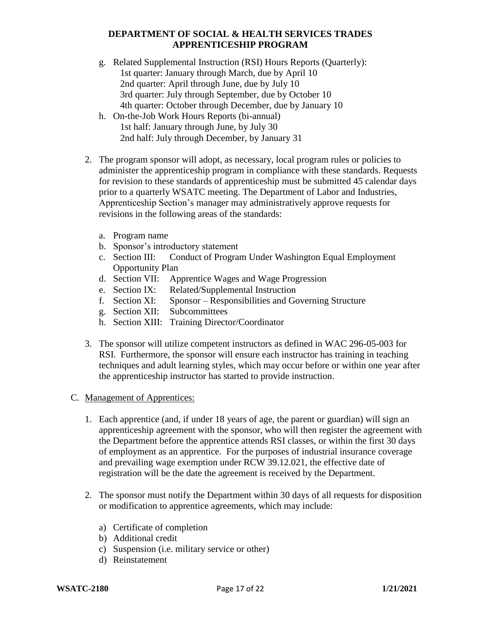- g. Related Supplemental Instruction (RSI) Hours Reports (Quarterly): 1st quarter: January through March, due by April 10 2nd quarter: April through June, due by July 10 3rd quarter: July through September, due by October 10 4th quarter: October through December, due by January 10
- h. On-the-Job Work Hours Reports (bi-annual) 1st half: January through June, by July 30 2nd half: July through December, by January 31
- 2. The program sponsor will adopt, as necessary, local program rules or policies to administer the apprenticeship program in compliance with these standards. Requests for revision to these standards of apprenticeship must be submitted 45 calendar days prior to a quarterly WSATC meeting. The Department of Labor and Industries, Apprenticeship Section's manager may administratively approve requests for revisions in the following areas of the standards:
	- a. Program name
	- b. Sponsor's introductory statement
	- c. Section III: Conduct of Program Under Washington Equal Employment Opportunity Plan
	- d. Section VII: Apprentice Wages and Wage Progression
	- e. Section IX: Related/Supplemental Instruction
	- f. Section XI: Sponsor Responsibilities and Governing Structure
	- g. Section XII: Subcommittees
	- h. Section XIII: Training Director/Coordinator
- 3. The sponsor will utilize competent instructors as defined in WAC 296-05-003 for RSI. Furthermore, the sponsor will ensure each instructor has training in teaching techniques and adult learning styles, which may occur before or within one year after the apprenticeship instructor has started to provide instruction.
- C. Management of Apprentices:
	- 1. Each apprentice (and, if under 18 years of age, the parent or guardian) will sign an apprenticeship agreement with the sponsor, who will then register the agreement with the Department before the apprentice attends RSI classes, or within the first 30 days of employment as an apprentice. For the purposes of industrial insurance coverage and prevailing wage exemption under RCW 39.12.021, the effective date of registration will be the date the agreement is received by the Department.
	- 2. The sponsor must notify the Department within 30 days of all requests for disposition or modification to apprentice agreements, which may include:
		- a) Certificate of completion
		- b) Additional credit
		- c) Suspension (i.e. military service or other)
		- d) Reinstatement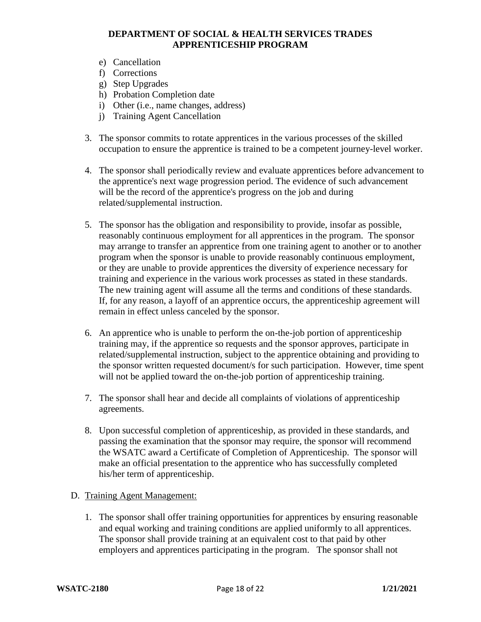- e) Cancellation
- f) Corrections
- g) Step Upgrades
- h) Probation Completion date
- i) Other (i.e., name changes, address)
- j) Training Agent Cancellation
- 3. The sponsor commits to rotate apprentices in the various processes of the skilled occupation to ensure the apprentice is trained to be a competent journey-level worker.
- 4. The sponsor shall periodically review and evaluate apprentices before advancement to the apprentice's next wage progression period. The evidence of such advancement will be the record of the apprentice's progress on the job and during related/supplemental instruction.
- 5. The sponsor has the obligation and responsibility to provide, insofar as possible, reasonably continuous employment for all apprentices in the program. The sponsor may arrange to transfer an apprentice from one training agent to another or to another program when the sponsor is unable to provide reasonably continuous employment, or they are unable to provide apprentices the diversity of experience necessary for training and experience in the various work processes as stated in these standards. The new training agent will assume all the terms and conditions of these standards. If, for any reason, a layoff of an apprentice occurs, the apprenticeship agreement will remain in effect unless canceled by the sponsor.
- 6. An apprentice who is unable to perform the on-the-job portion of apprenticeship training may, if the apprentice so requests and the sponsor approves, participate in related/supplemental instruction, subject to the apprentice obtaining and providing to the sponsor written requested document/s for such participation. However, time spent will not be applied toward the on-the-job portion of apprenticeship training.
- 7. The sponsor shall hear and decide all complaints of violations of apprenticeship agreements.
- 8. Upon successful completion of apprenticeship, as provided in these standards, and passing the examination that the sponsor may require, the sponsor will recommend the WSATC award a Certificate of Completion of Apprenticeship. The sponsor will make an official presentation to the apprentice who has successfully completed his/her term of apprenticeship.
- D. Training Agent Management:
	- 1. The sponsor shall offer training opportunities for apprentices by ensuring reasonable and equal working and training conditions are applied uniformly to all apprentices. The sponsor shall provide training at an equivalent cost to that paid by other employers and apprentices participating in the program. The sponsor shall not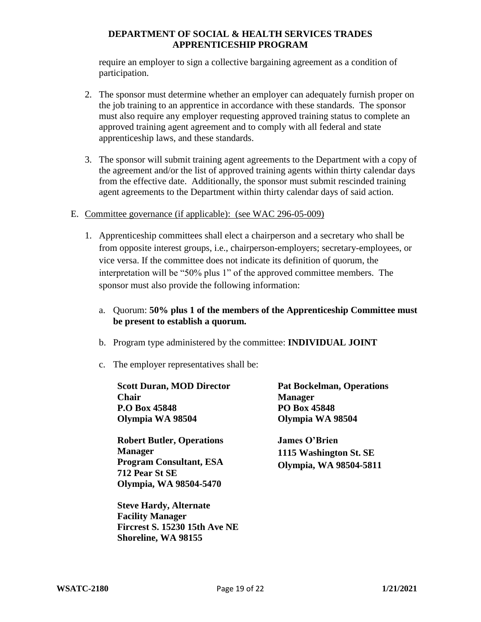require an employer to sign a collective bargaining agreement as a condition of participation.

- 2. The sponsor must determine whether an employer can adequately furnish proper on the job training to an apprentice in accordance with these standards. The sponsor must also require any employer requesting approved training status to complete an approved training agent agreement and to comply with all federal and state apprenticeship laws, and these standards.
- 3. The sponsor will submit training agent agreements to the Department with a copy of the agreement and/or the list of approved training agents within thirty calendar days from the effective date. Additionally, the sponsor must submit rescinded training agent agreements to the Department within thirty calendar days of said action.
- E. Committee governance (if applicable): (see WAC 296-05-009)
	- 1. Apprenticeship committees shall elect a chairperson and a secretary who shall be from opposite interest groups, i.e., chairperson-employers; secretary-employees, or vice versa. If the committee does not indicate its definition of quorum, the interpretation will be "50% plus 1" of the approved committee members. The sponsor must also provide the following information:
		- a. Quorum: **50% plus 1 of the members of the Apprenticeship Committee must be present to establish a quorum.**
		- b. Program type administered by the committee: **INDIVIDUAL JOINT**
		- c. The employer representatives shall be:

| <b>Scott Duran, MOD Director</b>                                                                                                                                                                                                                                                                                                                                                                                                                                                                                                                                                                                               | <b>Pat Bockelman, Operations</b>                                         |
|--------------------------------------------------------------------------------------------------------------------------------------------------------------------------------------------------------------------------------------------------------------------------------------------------------------------------------------------------------------------------------------------------------------------------------------------------------------------------------------------------------------------------------------------------------------------------------------------------------------------------------|--------------------------------------------------------------------------|
| <b>Chair</b>                                                                                                                                                                                                                                                                                                                                                                                                                                                                                                                                                                                                                   | <b>Manager</b>                                                           |
| P.O Box 45848                                                                                                                                                                                                                                                                                                                                                                                                                                                                                                                                                                                                                  | PO Box 45848                                                             |
| Olympia WA 98504                                                                                                                                                                                                                                                                                                                                                                                                                                                                                                                                                                                                               | Olympia WA 98504                                                         |
| <b>Robert Butler, Operations</b><br><b>Manager</b><br><b>Program Consultant, ESA</b><br>712 Pear St SE<br>Olympia, WA 98504-5470<br>$\blacksquare$ $\blacksquare$ $\blacksquare$ $\blacksquare$ $\blacksquare$ $\blacksquare$ $\blacksquare$ $\blacksquare$ $\blacksquare$ $\blacksquare$ $\blacksquare$ $\blacksquare$ $\blacksquare$ $\blacksquare$ $\blacksquare$ $\blacksquare$ $\blacksquare$ $\blacksquare$ $\blacksquare$ $\blacksquare$ $\blacksquare$ $\blacksquare$ $\blacksquare$ $\blacksquare$ $\blacksquare$ $\blacksquare$ $\blacksquare$ $\blacksquare$ $\blacksquare$ $\blacksquare$ $\blacksquare$ $\blacks$ | <b>James O'Brien</b><br>1115 Washington St. SE<br>Olympia, WA 98504-5811 |

**Steve Hardy, Alternate Facility Manager Fircrest S. 15230 15th Ave NE Shoreline, WA 98155**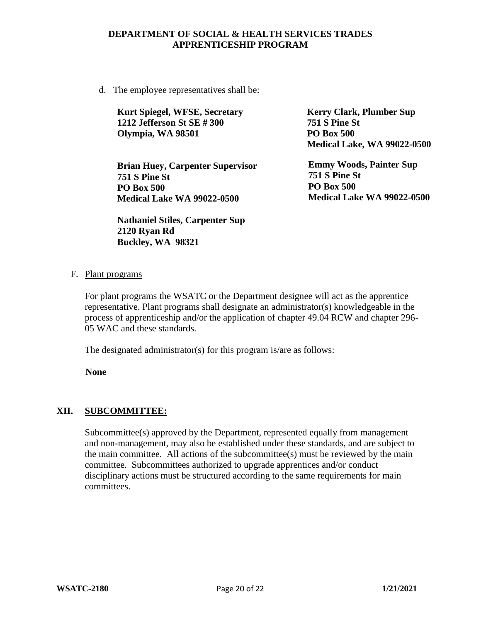d. The employee representatives shall be:

| <b>Kurt Spiegel, WFSE, Secretary</b> | <b>Kerry Clark, Plumber Sup</b> |
|--------------------------------------|---------------------------------|
| 1212 Jefferson St SE #300            | <b>751 S Pine St</b>            |
| Olympia, WA 98501                    | <b>PO Box 500</b>               |
|                                      |                                 |

**Brian Huey, Carpenter Supervisor 751 S Pine St PO Box 500 Medical Lake WA 99022-0500**

**Nathaniel Stiles, Carpenter Sup 2120 Ryan Rd Buckley, WA 98321**

**Medical Lake, WA 99022-0500 Emmy Woods, Painter Sup 751 S Pine St PO Box 500**

**Medical Lake WA 99022-0500**

F. Plant programs

For plant programs the WSATC or the Department designee will act as the apprentice representative. Plant programs shall designate an administrator(s) knowledgeable in the process of apprenticeship and/or the application of chapter 49.04 RCW and chapter 296- 05 WAC and these standards.

The designated administrator(s) for this program is/are as follows:

**None**

#### **XII. SUBCOMMITTEE:**

Subcommittee(s) approved by the Department, represented equally from management and non-management, may also be established under these standards, and are subject to the main committee. All actions of the subcommittee(s) must be reviewed by the main committee. Subcommittees authorized to upgrade apprentices and/or conduct disciplinary actions must be structured according to the same requirements for main committees.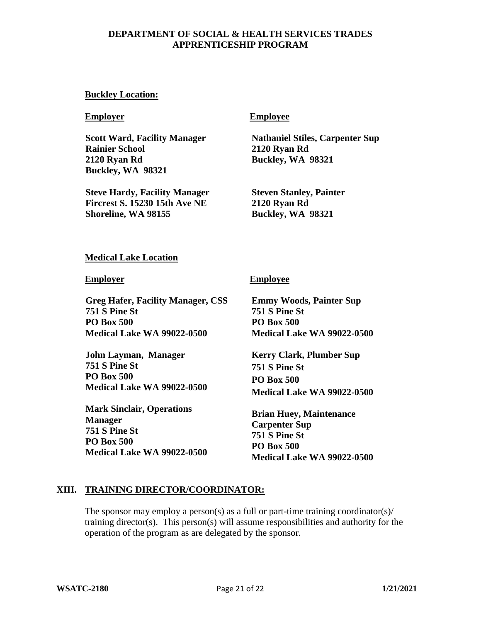#### **Buckley Location:**

**Scott Ward, Facility Manager Rainier School 2120 Ryan Rd Buckley, WA 98321**

**Steve Hardy, Facility Manager Fircrest S. 15230 15th Ave NE Shoreline, WA 98155**

#### **Employer Employee**

**Nathaniel Stiles, Carpenter Sup 2120 Ryan Rd Buckley, WA 98321**

**Steven Stanley, Painter 2120 Ryan Rd Buckley, WA 98321**

#### **Medical Lake Location**

**Greg Hafer, Facility Manager, CSS 751 S Pine St PO Box 500 Medical Lake WA 99022-0500**

**John Layman, Manager 751 S Pine St PO Box 500 Medical Lake WA 99022-0500**

**Mark Sinclair, Operations Manager 751 S Pine St PO Box 500 Medical Lake WA 99022-0500**

#### **Employer Employee**

**Emmy Woods, Painter Sup 751 S Pine St PO Box 500 Medical Lake WA 99022-0500**

**Kerry Clark, Plumber Sup 751 S Pine St PO Box 500 Medical Lake WA 99022-0500**

**Brian Huey, Maintenance Carpenter Sup 751 S Pine St PO Box 500 Medical Lake WA 99022-0500**

#### **XIII. TRAINING DIRECTOR/COORDINATOR:**

The sponsor may employ a person(s) as a full or part-time training coordinator(s)/ training director(s). This person(s) will assume responsibilities and authority for the operation of the program as are delegated by the sponsor.